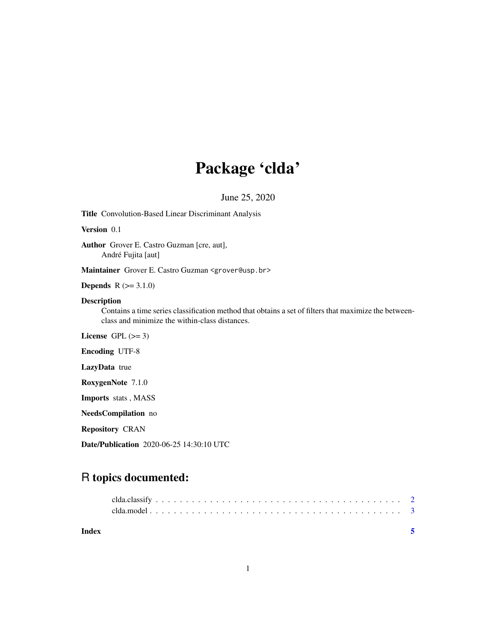## Package 'clda'

June 25, 2020

Title Convolution-Based Linear Discriminant Analysis

Version 0.1

Author Grover E. Castro Guzman [cre, aut], André Fujita [aut]

Maintainer Grover E. Castro Guzman <grover@usp.br>

**Depends**  $R (= 3.1.0)$ 

#### Description

Contains a time series classification method that obtains a set of filters that maximize the betweenclass and minimize the within-class distances.

License GPL  $(>= 3)$ 

Encoding UTF-8

LazyData true

RoxygenNote 7.1.0

Imports stats , MASS

NeedsCompilation no

Repository CRAN

Date/Publication 2020-06-25 14:30:10 UTC

### R topics documented:

| Index |  |  |  |  |  |  |  |  |  |  |  |  |  |  |  |  |  |  |
|-------|--|--|--|--|--|--|--|--|--|--|--|--|--|--|--|--|--|--|
|       |  |  |  |  |  |  |  |  |  |  |  |  |  |  |  |  |  |  |
|       |  |  |  |  |  |  |  |  |  |  |  |  |  |  |  |  |  |  |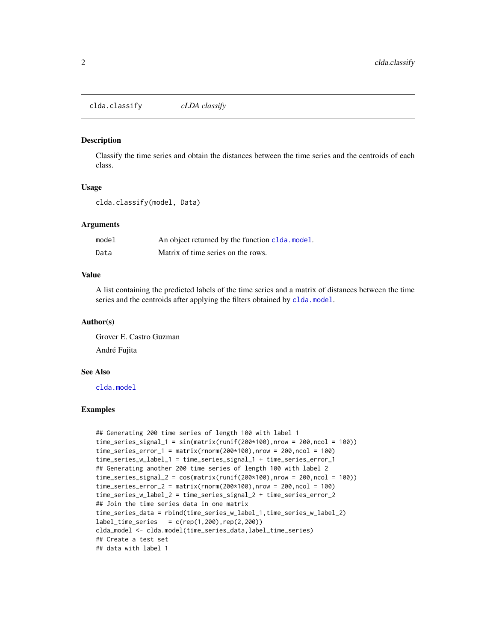<span id="page-1-0"></span>clda.classify *cLDA classify*

#### Description

Classify the time series and obtain the distances between the time series and the centroids of each class.

#### Usage

clda.classify(model, Data)

#### Arguments

| model | An object returned by the function clda.model. |
|-------|------------------------------------------------|
| Data  | Matrix of time series on the rows.             |

#### Value

A list containing the predicted labels of the time series and a matrix of distances between the time series and the centroids after applying the filters obtained by [clda.model](#page-2-1).

#### Author(s)

Grover E. Castro Guzman André Fujita

#### See Also

[clda.model](#page-2-1)

#### Examples

```
## Generating 200 time series of length 100 with label 1
time_series_signal_1 = sin(matrix(runif(200*100),nrow = 200,ncol = 100))
time\_series\_error_1 = matrix(rnorm(200*100), nrow = 200, ncol = 100)time_series_w_label_1 = time_series_signal_1 + time_series_error_1
## Generating another 200 time series of length 100 with label 2
time_series_signal_2 = cos(matrix(runif(200*100),nrow = 200,ncol = 100))time\_series\_error_2 = matrix(rnorm(200*100), nrow = 200, ncol = 100)time_series_w_label_2 = time_series_signal_2 + time_series_error_2
## Join the time series data in one matrix
time_series_data = rbind(time_series_w_label_1,time_series_w_label_2)
label_time_series = c(rep(1,200),rep(2,200))clda_model <- clda.model(time_series_data,label_time_series)
## Create a test set
## data with label 1
```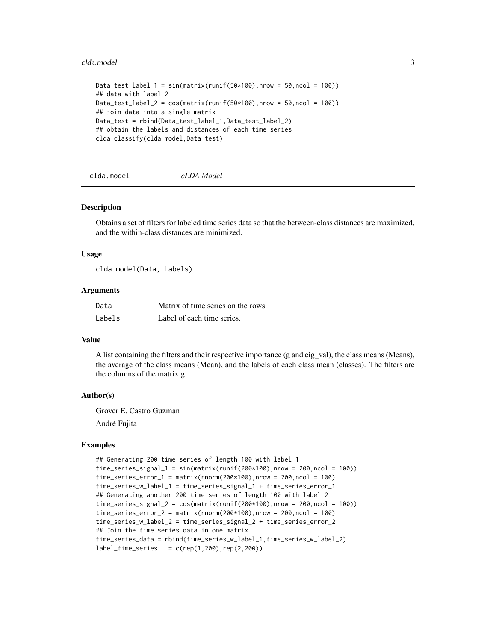#### <span id="page-2-0"></span>clda.model 3

```
Data_test_label_1 = sin(matrix(runif(50*100),nrow = 50,ncol = 100))## data with label 2
Data_test_label_2 = cos(maxrix(runif(50*100),nrow = 50,ncol = 100))## join data into a single matrix
Data_test = rbind(Data_test_label_1,Data_test_label_2)
## obtain the labels and distances of each time series
clda.classify(clda_model,Data_test)
```
<span id="page-2-1"></span>clda.model *cLDA Model*

#### Description

Obtains a set of filters for labeled time series data so that the between-class distances are maximized, and the within-class distances are minimized.

#### Usage

clda.model(Data, Labels)

#### Arguments

| Data   | Matrix of time series on the rows. |
|--------|------------------------------------|
| Labels | Label of each time series.         |

#### Value

A list containing the filters and their respective importance (g and eig\_val), the class means (Means), the average of the class means (Mean), and the labels of each class mean (classes). The filters are the columns of the matrix g.

#### Author(s)

Grover E. Castro Guzman

André Fujita

#### Examples

```
## Generating 200 time series of length 100 with label 1
time\_series\_signal_1 = sin(maxrix(runif(200*100),nrow = 200,ncol = 100))time\_series\_error_1 = matrix(rnorm(200*100), nrow = 200, ncol = 100)time_series_w_label_1 = time_series_signal_1 + time_series_error_1
## Generating another 200 time series of length 100 with label 2
time\_series\_signal_2 = cos(maxrix(runif(200*100),nrow = 200,ncol = 100))time\_series\_error_2 = matrix(rnorm(200*100), nrow = 200, ncol = 100)time_series_w_label_2 = time_series_signal_2 + time_series_error_2
## Join the time series data in one matrix
time_series_data = rbind(time_series_w_label_1,time_series_w_label_2)
label_time_series = c(rep(1,200),rep(2,200))
```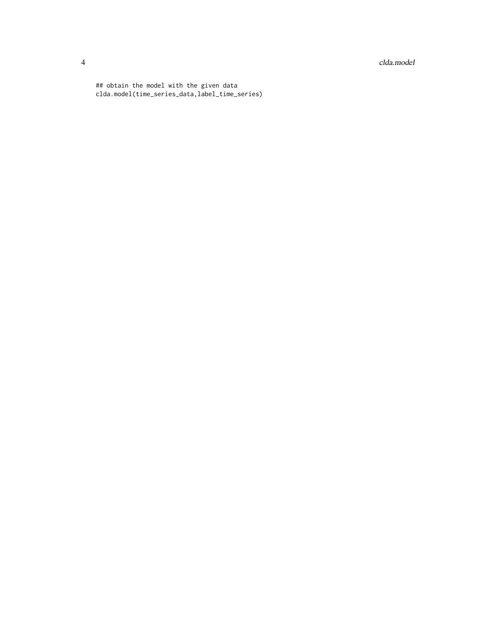4 clda.model

## obtain the model with the given data clda.model(time\_series\_data,label\_time\_series)